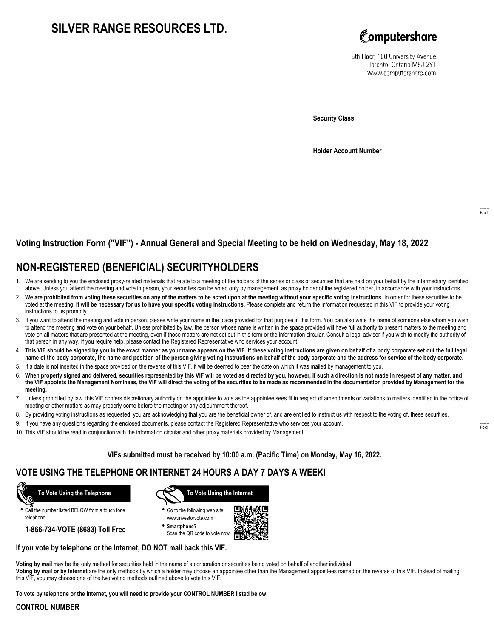## **SILVER RANGE RESOURCES LTD.**



8th Floor, 100 University Avenue Toronto, Ontario M5J 2Y1 www.computershare.com

**Security Class**

**Holder Account Number**

### **Voting Instruction Form ("VIF") - Annual General and Special Meeting to be held on Wednesday, May 18, 2022**

## **NON-REGISTERED (BENEFICIAL) SECURITYHOLDERS**

- 1. We are sending to you the enclosed proxy-related materials that relate to a meeting of the holders of the series or class of securities that are held on your behalf by the intermediary identified above. Unless you attend the meeting and vote in person, your securities can be voted only by management, as proxy holder of the registered holder, in accordance with your instructions.
- 2. **We are prohibited from voting these securities on any of the matters to be acted upon at the meeting without your specific voting instructions.** In order for these securities to be voted at the meeting, **it will be necessary for us to have your specific voting instructions.** Please complete and return the information requested in this VIF to provide your voting instructions to us promptly.
- 3. If you want to attend the meeting and vote in person, please write your name in the place provided for that purpose in this form. You can also write the name of someone else whom you wish to attend the meeting and vote on your behalf. Unless prohibited by law, the person whose name is written in the space provided will have full authority to present matters to the meeting and vote on all matters that are presented at the meeting, even if those matters are not set out in this form or the information circular. Consult a legal advisor if you wish to modify the authority of that person in any way. If you require help, please contact the Registered Representative who services your account.
- 4. **This VIF should be signed by you in the exact manner as your name appears on the VIF. If these voting instructions are given on behalf of a body corporate set out the full legal name of the body corporate, the name and position of the person giving voting instructions on behalf of the body corporate and the address for service of the body corporate.**
- 5. If a date is not inserted in the space provided on the reverse of this VIF, it will be deemed to bear the date on which it was mailed by management to you.
- 6. **When properly signed and delivered, securities represented by this VIF will be voted as directed by you, however, if such a direction is not made in respect of any matter, and the VIF appoints the Management Nominees, the VIF will direct the voting of the securities to be made as recommended in the documentation provided by Management for the meeting.**
- 7. Unless prohibited by law, this VIF confers discretionary authority on the appointee to vote as the appointee sees fit in respect of amendments or variations to matters identified in the notice of meeting or other matters as may properly come before the meeting or any adjournment thereof.
- 8. By providing voting instructions as requested, you are acknowledging that you are the beneficial owner of, and are entitled to instruct us with respect to the voting of, these securities.
- 9. If you have any questions regarding the enclosed documents, please contact the Registered Representative who services your account.
- 10. This VIF should be read in conjunction with the information circular and other proxy materials provided by Management.

### **VIFs submitted must be received by 10:00 a.m. (Pacific Time) on Monday, May 16, 2022.**

### **VOTE USING THE TELEPHONE OR INTERNET 24 HOURS A DAY 7 DAYS A WEEK!**



**•** Call the number listed BELOW from a touch tone telephone.

**1-866-734-VOTE (8683) Toll Free**



- **•** Go to the following web site: www.investorvote.com
- **• Smartphone?** Scan the QR code to vote now.



#### **If you vote by telephone or the Internet, DO NOT mail back this VIF.**

**Voting by mail** may be the only method for securities held in the name of a corporation or securities being voted on behalf of another individual.

**Voting by mail or by Internet** are the only methods by which a holder may choose an appointee other than the Management appointees named on the reverse of this VIF. Instead of mailing this VIF, you may choose one of the two voting methods outlined above to vote this VIF.

**To vote by telephone or the Internet, you will need to provide your CONTROL NUMBER listed below.**

#### **CONTROL NUMBER**